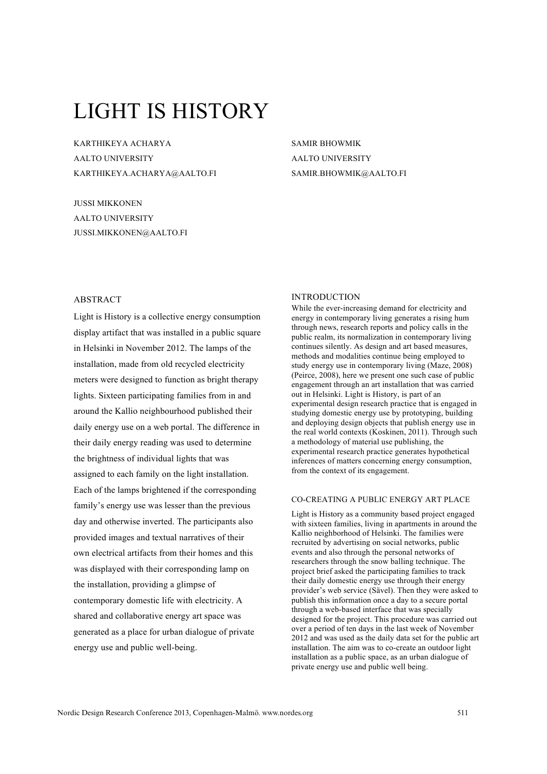# LIGHT IS HISTORY

KARTHIKEYA ACHARYA AALTO UNIVERSITY KARTHIKEYA.ACHARYA@AALTO.FI

JUSSI MIKKONEN AALTO UNIVERSITY JUSSI.MIKKONEN@AALTO.FI SAMIR BHOWMIK AALTO UNIVERSITY SAMIR.BHOWMIK@AALTO.FI

# ABSTRACT

Light is History is a collective energy consumption display artifact that was installed in a public square in Helsinki in November 2012. The lamps of the installation, made from old recycled electricity meters were designed to function as bright therapy lights. Sixteen participating families from in and around the Kallio neighbourhood published their daily energy use on a web portal. The difference in their daily energy reading was used to determine the brightness of individual lights that was assigned to each family on the light installation. Each of the lamps brightened if the corresponding family's energy use was lesser than the previous day and otherwise inverted. The participants also provided images and textual narratives of their own electrical artifacts from their homes and this was displayed with their corresponding lamp on the installation, providing a glimpse of contemporary domestic life with electricity. A shared and collaborative energy art space was generated as a place for urban dialogue of private energy use and public well-being.

## **INTRODUCTION**

While the ever-increasing demand for electricity and energy in contemporary living generates a rising hum through news, research reports and policy calls in the public realm, its normalization in contemporary living continues silently. As design and art based measures, methods and modalities continue being employed to study energy use in contemporary living (Maze, 2008) (Peirce, 2008), here we present one such case of public engagement through an art installation that was carried out in Helsinki. Light is History, is part of an experimental design research practice that is engaged in studying domestic energy use by prototyping, building and deploying design objects that publish energy use in the real world contexts (Koskinen, 2011). Through such a methodology of material use publishing, the experimental research practice generates hypothetical inferences of matters concerning energy consumption, from the context of its engagement.

## CO-CREATING A PUBLIC ENERGY ART PLACE

Light is History as a community based project engaged with sixteen families, living in apartments in around the Kallio neighborhood of Helsinki. The families were recruited by advertising on social networks, public events and also through the personal networks of researchers through the snow balling technique. The project brief asked the participating families to track their daily domestic energy use through their energy provider's web service (Sävel). Then they were asked to publish this information once a day to a secure portal through a web-based interface that was specially designed for the project. This procedure was carried out over a period of ten days in the last week of November 2012 and was used as the daily data set for the public art installation. The aim was to co-create an outdoor light installation as a public space, as an urban dialogue of private energy use and public well being.